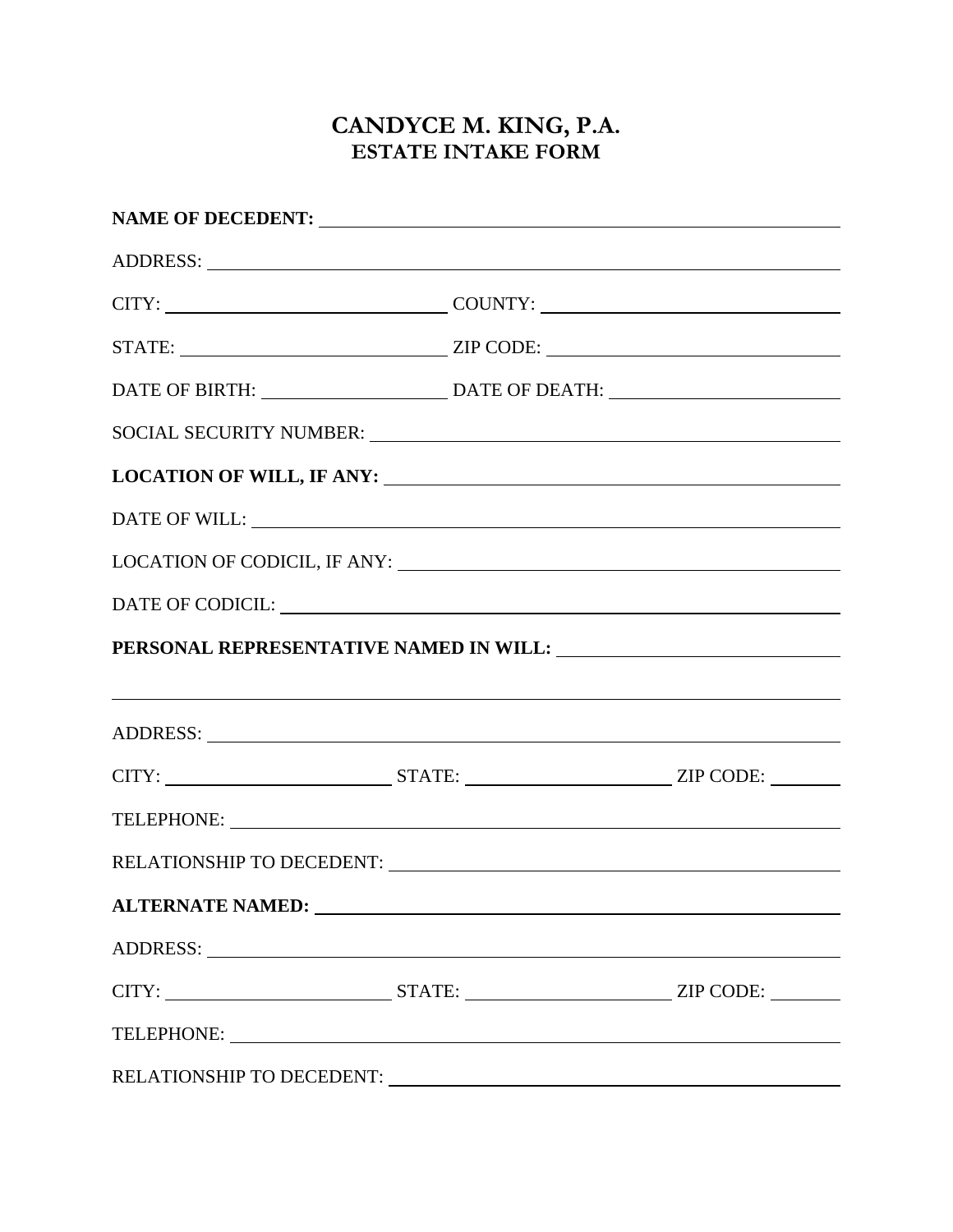## **CANDYCE M. KING, P.A. ESTATE INTAKE FORM**

| CITY: _________________________________COUNTY: _________________________________                                                                                                                                               |  |
|--------------------------------------------------------------------------------------------------------------------------------------------------------------------------------------------------------------------------------|--|
|                                                                                                                                                                                                                                |  |
|                                                                                                                                                                                                                                |  |
| SOCIAL SECURITY NUMBER: VALUE AND A CONTROL AND A CONTROL OF A CONTROL OF A CONTROL OF A CONTROL OF A CONTROL OF A CONTROL OF A CONTROL OF A CONTROL OF A CONTROL OF A CONTROL OF A CONTROL OF A CONTROL OF A CONTROL OF A CON |  |
|                                                                                                                                                                                                                                |  |
| DATE OF WILL: University of the University of the University of the University of the University of the University of the University of the University of the University of the University of the University of the University |  |
|                                                                                                                                                                                                                                |  |
|                                                                                                                                                                                                                                |  |
|                                                                                                                                                                                                                                |  |
| <u> 1999 - Johann Harry Harry Harry Harry Harry Harry Harry Harry Harry Harry Harry Harry Harry Harry Harry Harry</u>                                                                                                          |  |
|                                                                                                                                                                                                                                |  |
|                                                                                                                                                                                                                                |  |
|                                                                                                                                                                                                                                |  |
|                                                                                                                                                                                                                                |  |
| ALTERNATE NAMED: University of the contract of the contract of the contract of the contract of the contract of the contract of the contract of the contract of the contract of the contract of the contract of the contract of |  |
| ADDRESS: New York Contract the Contract of the Contract of the Contract of the Contract of the Contract of the Contract of the Contract of the Contract of the Contract of the Contract of the Contract of the Contract of the |  |
|                                                                                                                                                                                                                                |  |
|                                                                                                                                                                                                                                |  |
|                                                                                                                                                                                                                                |  |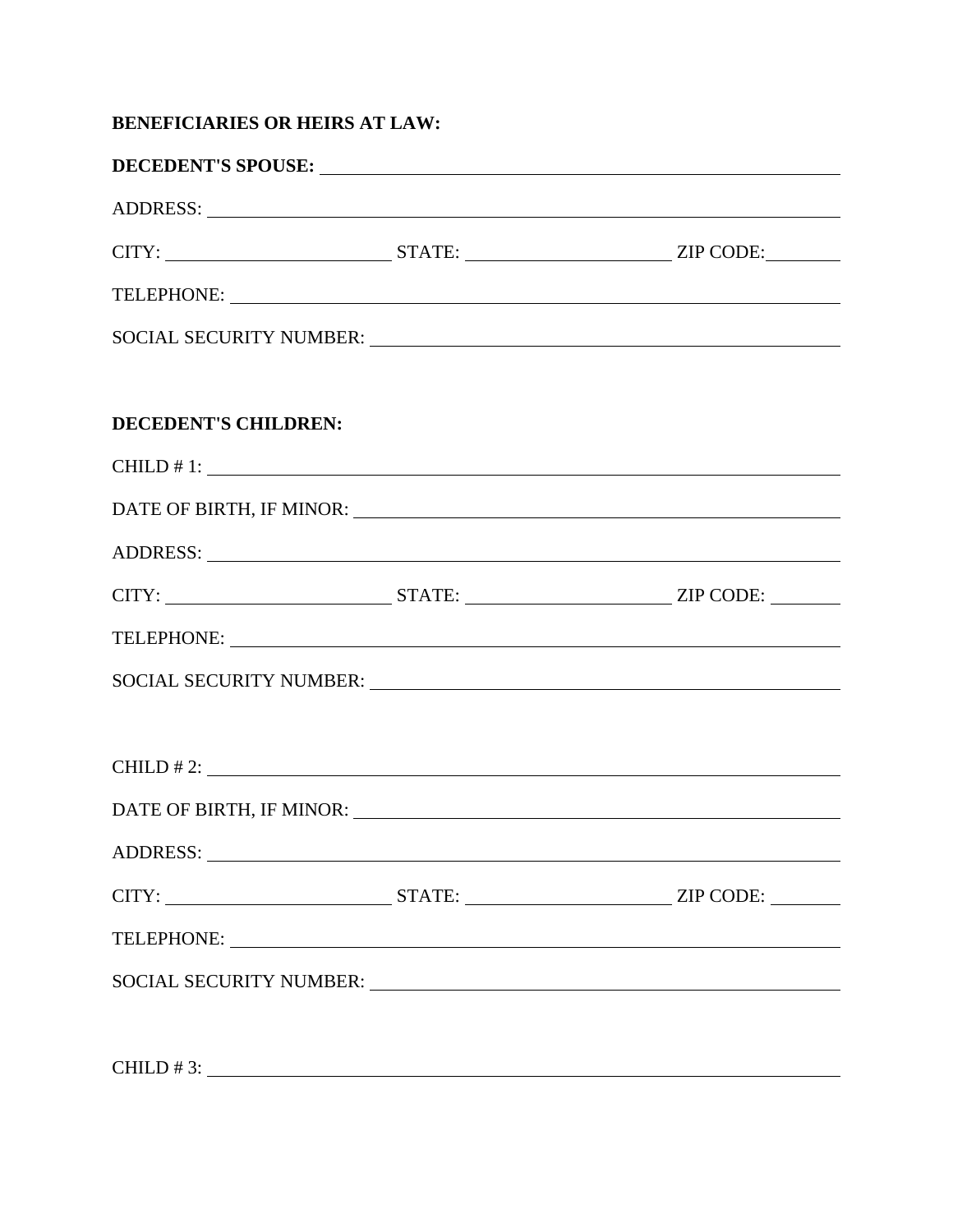## **BENEFICIARIES OR HEIRS AT LAW:**

|                      | DECEDENT'S SPOUSE:                                                                                                                                                                                                             |  |
|----------------------|--------------------------------------------------------------------------------------------------------------------------------------------------------------------------------------------------------------------------------|--|
|                      | ADDRESS: New York Contract the Contract of the Contract of the Contract of the Contract of the Contract of the Contract of the Contract of the Contract of the Contract of the Contract of the Contract of the Contract of the |  |
|                      |                                                                                                                                                                                                                                |  |
|                      |                                                                                                                                                                                                                                |  |
|                      |                                                                                                                                                                                                                                |  |
|                      |                                                                                                                                                                                                                                |  |
| DECEDENT'S CHILDREN: |                                                                                                                                                                                                                                |  |
|                      | CHILD # 1: $\overline{\phantom{a}}$                                                                                                                                                                                            |  |
|                      |                                                                                                                                                                                                                                |  |
|                      |                                                                                                                                                                                                                                |  |
|                      |                                                                                                                                                                                                                                |  |
|                      |                                                                                                                                                                                                                                |  |
|                      |                                                                                                                                                                                                                                |  |
|                      |                                                                                                                                                                                                                                |  |
|                      | $CHILD$ # 2:                                                                                                                                                                                                                   |  |
|                      |                                                                                                                                                                                                                                |  |
|                      |                                                                                                                                                                                                                                |  |
|                      |                                                                                                                                                                                                                                |  |
|                      |                                                                                                                                                                                                                                |  |
|                      |                                                                                                                                                                                                                                |  |
|                      |                                                                                                                                                                                                                                |  |
|                      | CHILD # 3: $\overline{\phantom{a}}$                                                                                                                                                                                            |  |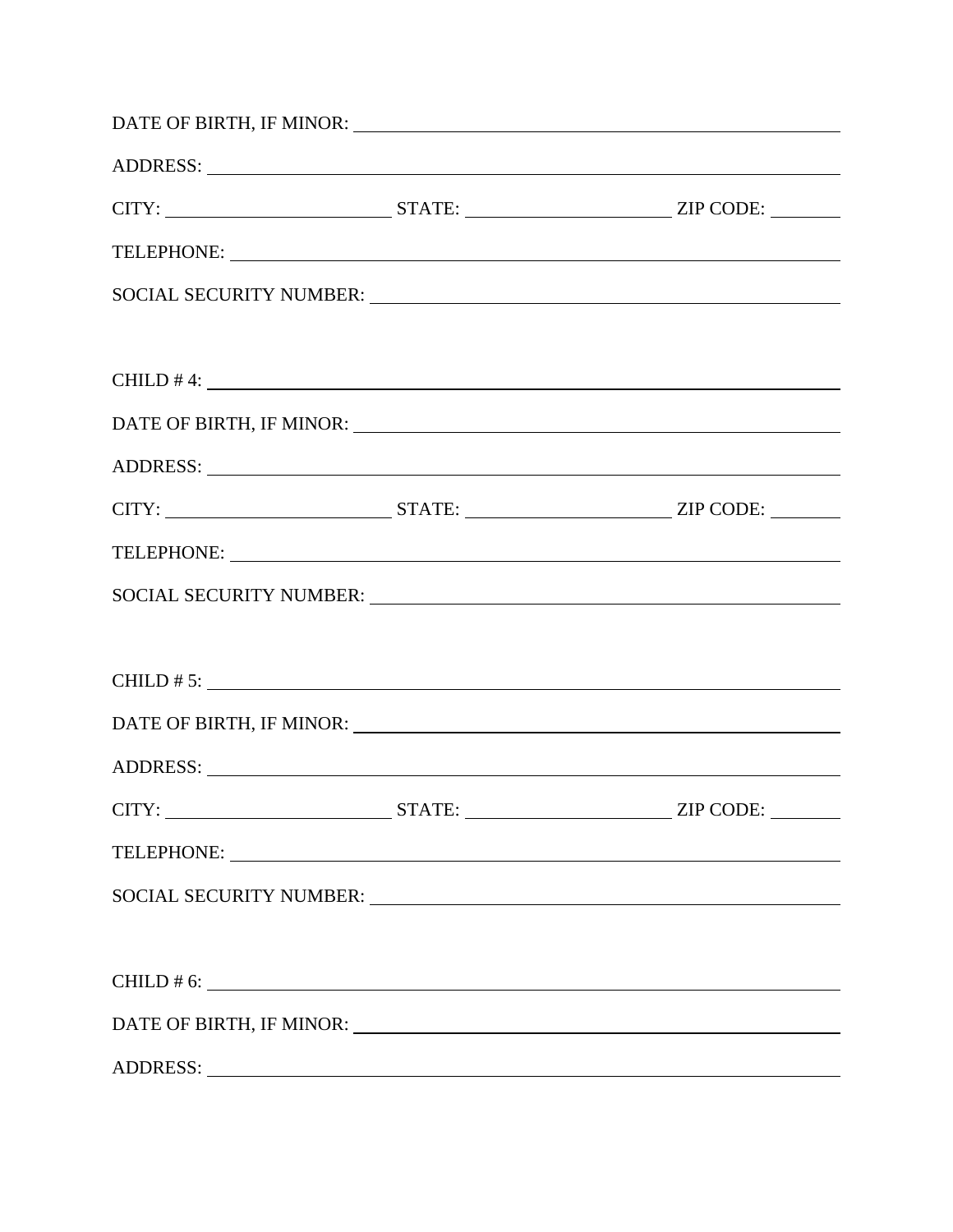|                | ADDRESS: New York Contract the Contract of the Contract of the Contract of the Contract of the Contract of the Contract of the Contract of the Contract of the Contract of the Contract of the Contract of the Contract of the |
|----------------|--------------------------------------------------------------------------------------------------------------------------------------------------------------------------------------------------------------------------------|
|                |                                                                                                                                                                                                                                |
|                |                                                                                                                                                                                                                                |
|                |                                                                                                                                                                                                                                |
|                | $CHILD$ # 4: $\_\_\_\_\_\_\_\_\$                                                                                                                                                                                               |
|                |                                                                                                                                                                                                                                |
|                | ADDRESS: New York Contract the Contract of the Contract of the Contract of the Contract of the Contract of the Contract of the Contract of the Contract of the Contract of the Contract of the Contract of the Contract of the |
|                |                                                                                                                                                                                                                                |
|                |                                                                                                                                                                                                                                |
|                | SOCIAL SECURITY NUMBER: VALUE AND A SOCIAL SECURITY NUMBER:                                                                                                                                                                    |
|                |                                                                                                                                                                                                                                |
|                | CHILD # 5: $\overline{\phantom{a}}$                                                                                                                                                                                            |
|                |                                                                                                                                                                                                                                |
|                |                                                                                                                                                                                                                                |
|                |                                                                                                                                                                                                                                |
|                |                                                                                                                                                                                                                                |
|                |                                                                                                                                                                                                                                |
|                |                                                                                                                                                                                                                                |
| CHILD $\# 6$ : |                                                                                                                                                                                                                                |
|                |                                                                                                                                                                                                                                |
|                |                                                                                                                                                                                                                                |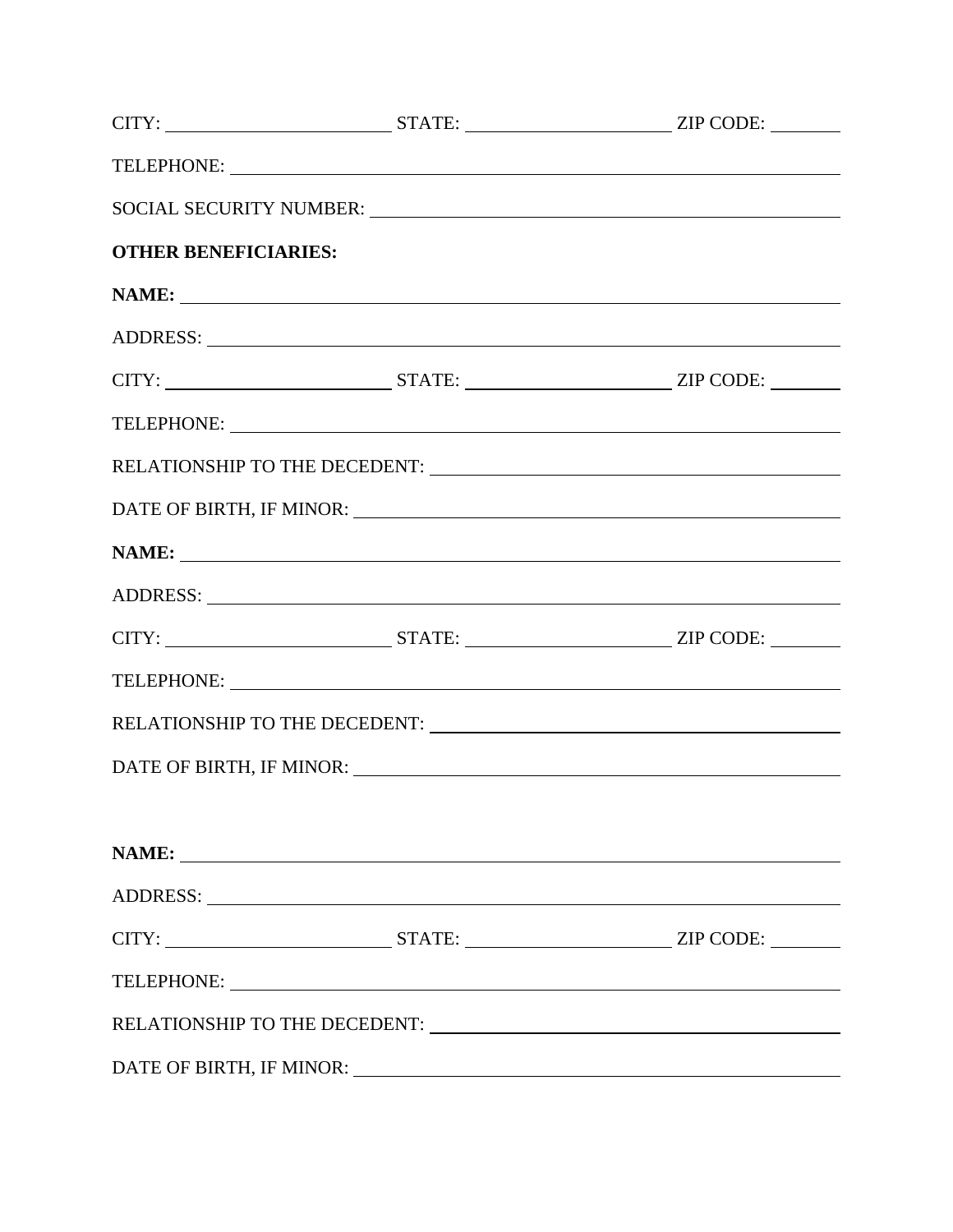|                             | SOCIAL SECURITY NUMBER: NORTH SECURITY NUMBER:                                                                                                                                                                                 |  |
|-----------------------------|--------------------------------------------------------------------------------------------------------------------------------------------------------------------------------------------------------------------------------|--|
| <b>OTHER BENEFICIARIES:</b> |                                                                                                                                                                                                                                |  |
|                             |                                                                                                                                                                                                                                |  |
|                             | ADDRESS: New York Contract the Contract of the Contract of the Contract of the Contract of the Contract of the Contract of the Contract of the Contract of the Contract of the Contract of the Contract of the Contract of the |  |
|                             |                                                                                                                                                                                                                                |  |
|                             |                                                                                                                                                                                                                                |  |
|                             |                                                                                                                                                                                                                                |  |
|                             |                                                                                                                                                                                                                                |  |
|                             |                                                                                                                                                                                                                                |  |
|                             | ADDRESS: New York Contract the Contract of the Contract of the Contract of the Contract of the Contract of the Contract of the Contract of the Contract of the Contract of the Contract of the Contract of the Contract of the |  |
|                             |                                                                                                                                                                                                                                |  |
|                             |                                                                                                                                                                                                                                |  |
|                             |                                                                                                                                                                                                                                |  |
|                             |                                                                                                                                                                                                                                |  |
|                             |                                                                                                                                                                                                                                |  |
|                             |                                                                                                                                                                                                                                |  |
|                             |                                                                                                                                                                                                                                |  |
|                             |                                                                                                                                                                                                                                |  |
|                             | TELEPHONE:                                                                                                                                                                                                                     |  |
|                             |                                                                                                                                                                                                                                |  |
|                             |                                                                                                                                                                                                                                |  |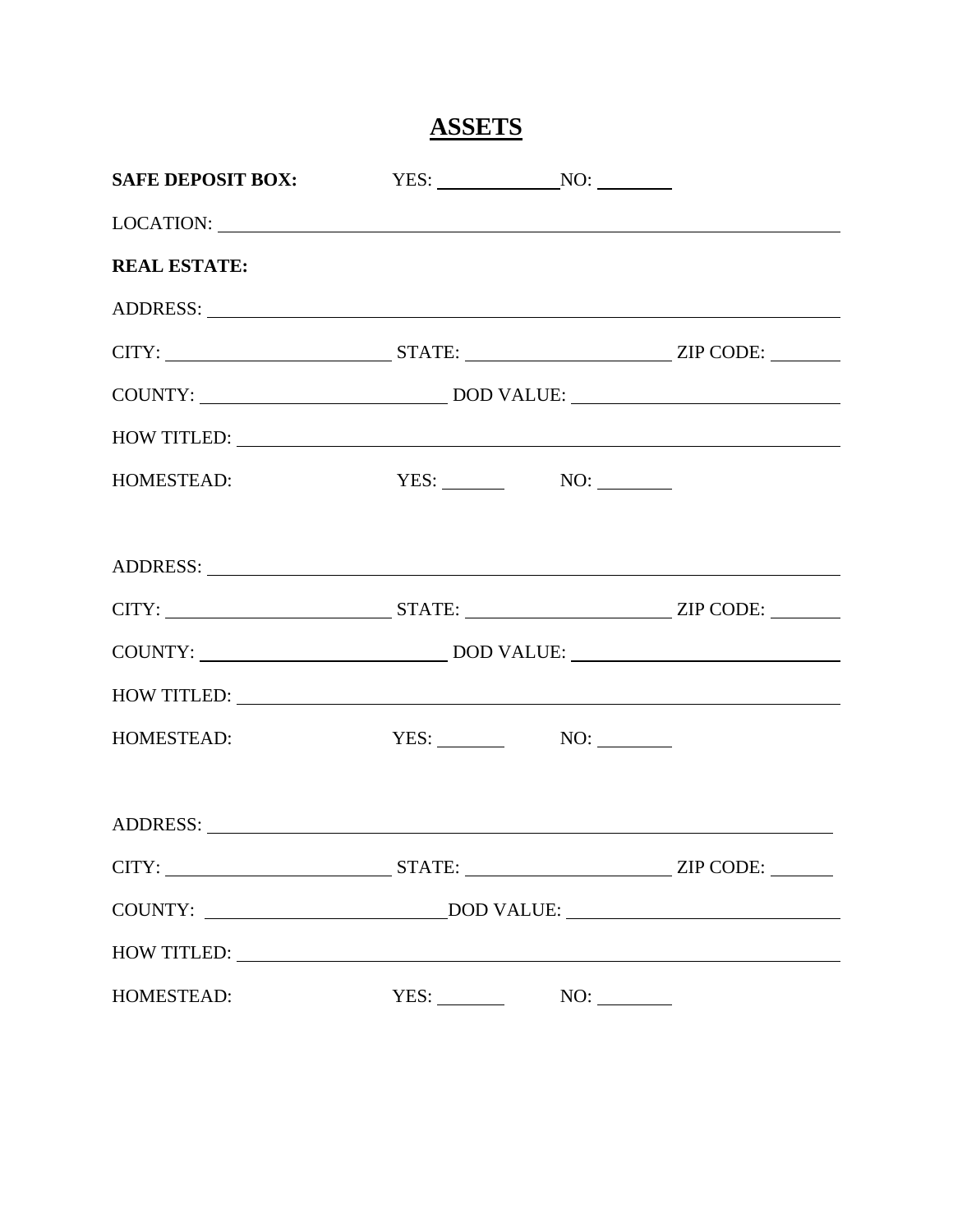**ASSETS** 

| SAFE DEPOSIT BOX: YES: NO: NO:                                                                                                                                                                                                 |                       |  |
|--------------------------------------------------------------------------------------------------------------------------------------------------------------------------------------------------------------------------------|-----------------------|--|
|                                                                                                                                                                                                                                |                       |  |
| <b>REAL ESTATE:</b>                                                                                                                                                                                                            |                       |  |
|                                                                                                                                                                                                                                |                       |  |
|                                                                                                                                                                                                                                |                       |  |
|                                                                                                                                                                                                                                |                       |  |
| HOW TITLED:                                                                                                                                                                                                                    |                       |  |
| HOMESTEAD:                                                                                                                                                                                                                     | $\text{YES:}$ NO: NO: |  |
|                                                                                                                                                                                                                                |                       |  |
|                                                                                                                                                                                                                                |                       |  |
|                                                                                                                                                                                                                                |                       |  |
| HOW TITLED: NAME OF STRAINING STRAINING STRAINING STRAINING STRAINING STRAINING STRAINING STRAINING STRAINING STRAINING STRAINING STRAINING STRAINING STRAINING STRAINING STRAINING STRAINING STRAINING STRAINING STRAINING ST |                       |  |
| HOMESTEAD:                                                                                                                                                                                                                     |                       |  |
|                                                                                                                                                                                                                                |                       |  |
|                                                                                                                                                                                                                                |                       |  |
|                                                                                                                                                                                                                                |                       |  |
| HOW TITLED:                                                                                                                                                                                                                    |                       |  |
| HOMESTEAD:                                                                                                                                                                                                                     | YES:                  |  |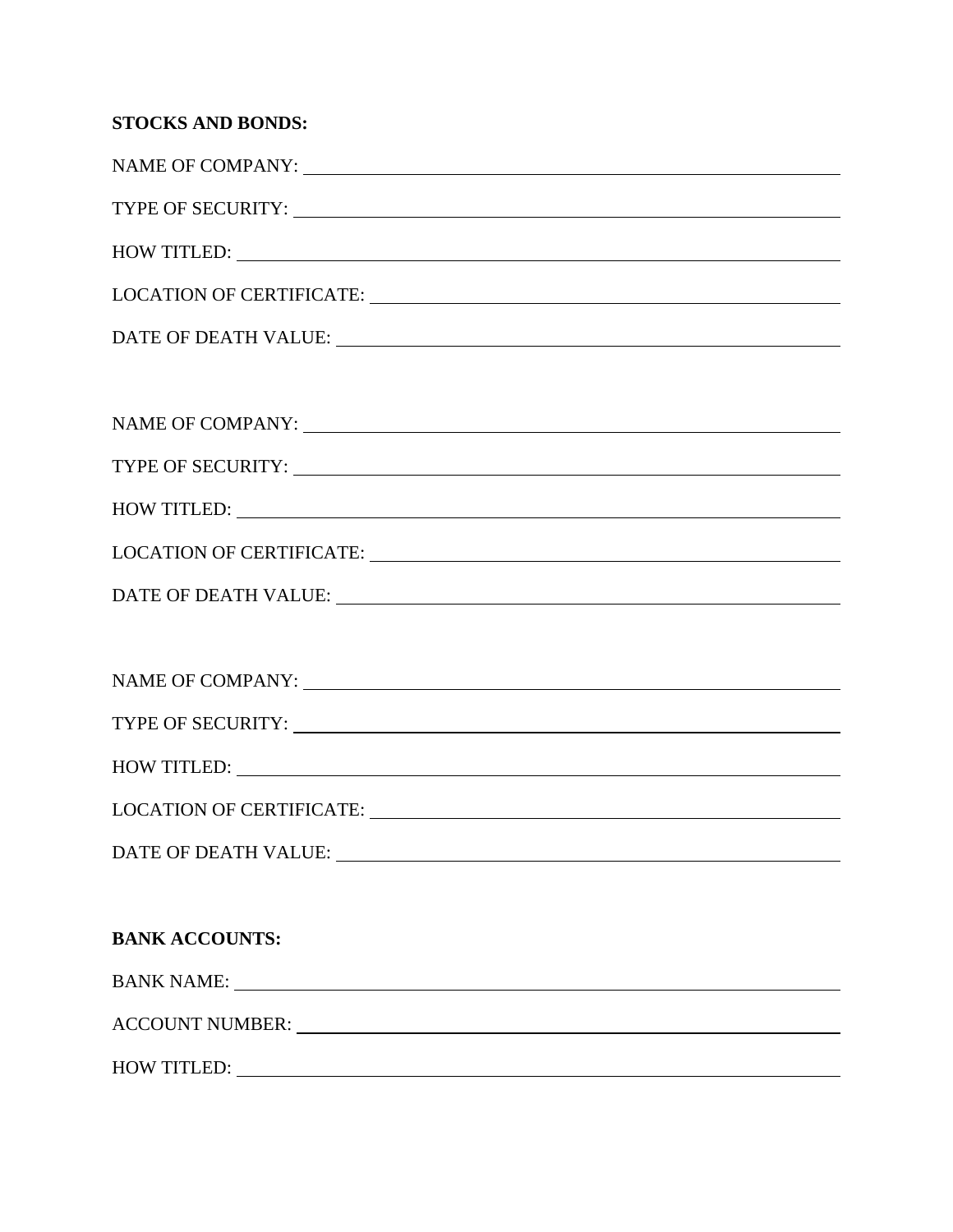| <b>STOCKS AND BONDS:</b>                                                                                                                                                                                                       |
|--------------------------------------------------------------------------------------------------------------------------------------------------------------------------------------------------------------------------------|
|                                                                                                                                                                                                                                |
|                                                                                                                                                                                                                                |
| HOW TITLED:                                                                                                                                                                                                                    |
| LOCATION OF CERTIFICATE: UNIVERSITY OF CERTIFICATE:                                                                                                                                                                            |
|                                                                                                                                                                                                                                |
|                                                                                                                                                                                                                                |
|                                                                                                                                                                                                                                |
|                                                                                                                                                                                                                                |
| HOW TITLED: NAME OF STRAINING STRAINING STRAINING STRAINING STRAINING STRAINING STRAINING STRAINING STRAINING STRAINING STRAINING STRAINING STRAINING STRAINING STRAINING STRAINING STRAINING STRAINING STRAINING STRAINING ST |
|                                                                                                                                                                                                                                |
|                                                                                                                                                                                                                                |
|                                                                                                                                                                                                                                |
| NAME OF COMPANY:                                                                                                                                                                                                               |
|                                                                                                                                                                                                                                |
| HOW TITLED: NAME OF STRAINING STRAINING STRAINING STRAINING STRAINING STRAINING STRAINING STRAINING STRAINING STRAINING STRAINING STRAINING STRAINING STRAINING STRAINING STRAINING STRAINING STRAINING STRAINING STRAINING ST |
|                                                                                                                                                                                                                                |
| DATE OF DEATH VALUE: University of the set of the set of the set of the set of the set of the set of the set of the set of the set of the set of the set of the set of the set of the set of the set of the set of the set of  |
|                                                                                                                                                                                                                                |
| <b>BANK ACCOUNTS:</b>                                                                                                                                                                                                          |
| BANK NAME:                                                                                                                                                                                                                     |
| ACCOUNT NUMBER: VALUE AND ACCOUNT NUMBER:                                                                                                                                                                                      |
| HOW TITLED: NAME OF STRAINING STRAINING STRAINING STRAINING STRAINING STRAINING STRAINING STRAINING STRAINING STRAINING STRAINING STRAINING STRAINING STRAINING STRAINING STRAINING STRAINING STRAINING STRAINING STRAINING ST |
|                                                                                                                                                                                                                                |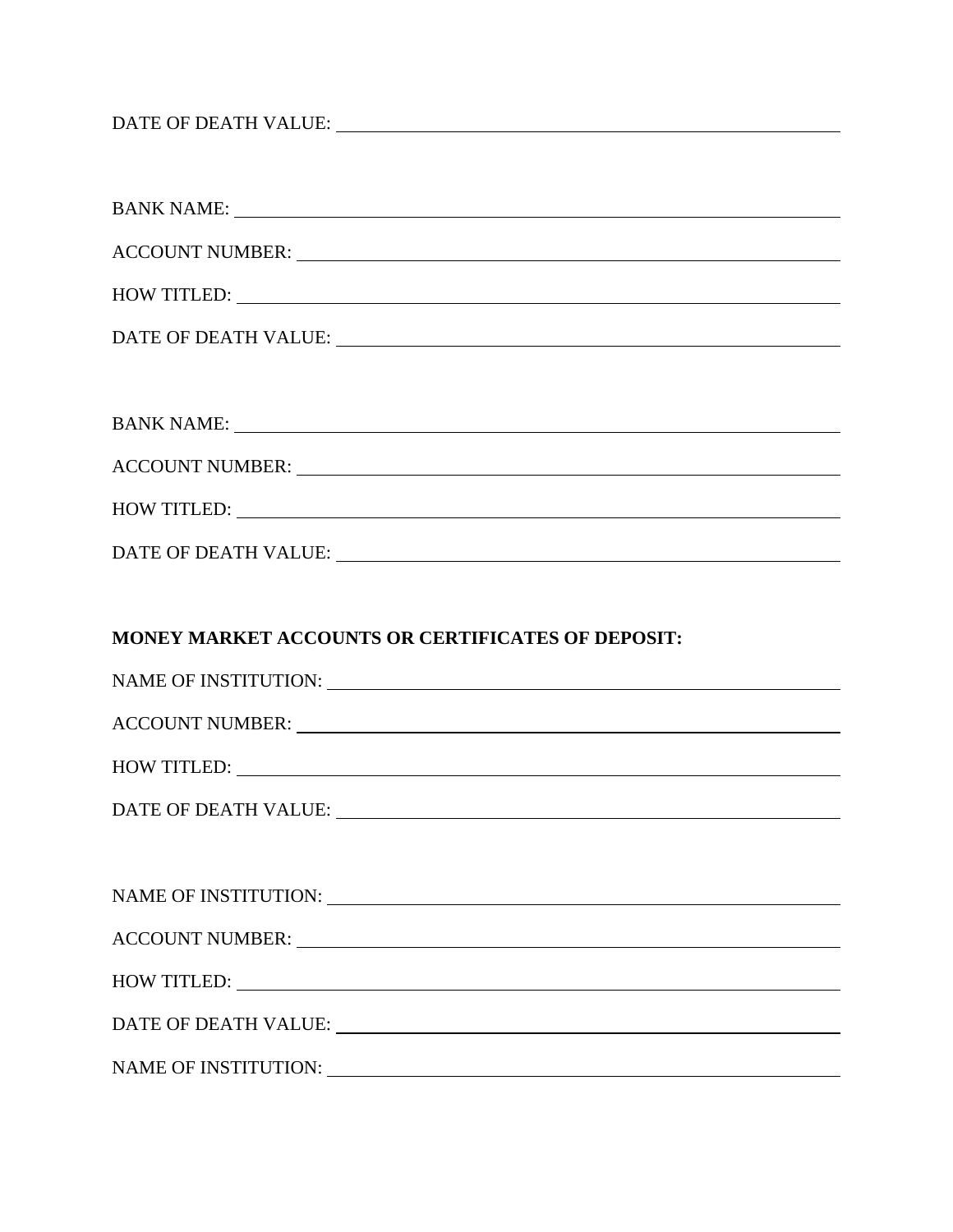DATE OF DEATH VALUE:

| HOW TITLED: NAME OF STRAINING STRAINING STRAINING STRAINING STRAINING STRAINING STRAINING STRAINING STRAINING STRAINING STRAINING STRAINING STRAINING STRAINING STRAINING STRAINING STRAINING STRAINING STRAINING STRAINING ST |
|--------------------------------------------------------------------------------------------------------------------------------------------------------------------------------------------------------------------------------|
|                                                                                                                                                                                                                                |
|                                                                                                                                                                                                                                |
|                                                                                                                                                                                                                                |
|                                                                                                                                                                                                                                |
| HOW TITLED:                                                                                                                                                                                                                    |
|                                                                                                                                                                                                                                |
|                                                                                                                                                                                                                                |
|                                                                                                                                                                                                                                |
| MONEY MARKET ACCOUNTS OR CERTIFICATES OF DEPOSIT:                                                                                                                                                                              |
|                                                                                                                                                                                                                                |
|                                                                                                                                                                                                                                |
|                                                                                                                                                                                                                                |
| HOW TITLED:                                                                                                                                                                                                                    |
|                                                                                                                                                                                                                                |
|                                                                                                                                                                                                                                |
|                                                                                                                                                                                                                                |
|                                                                                                                                                                                                                                |
| HOW TITLED:                                                                                                                                                                                                                    |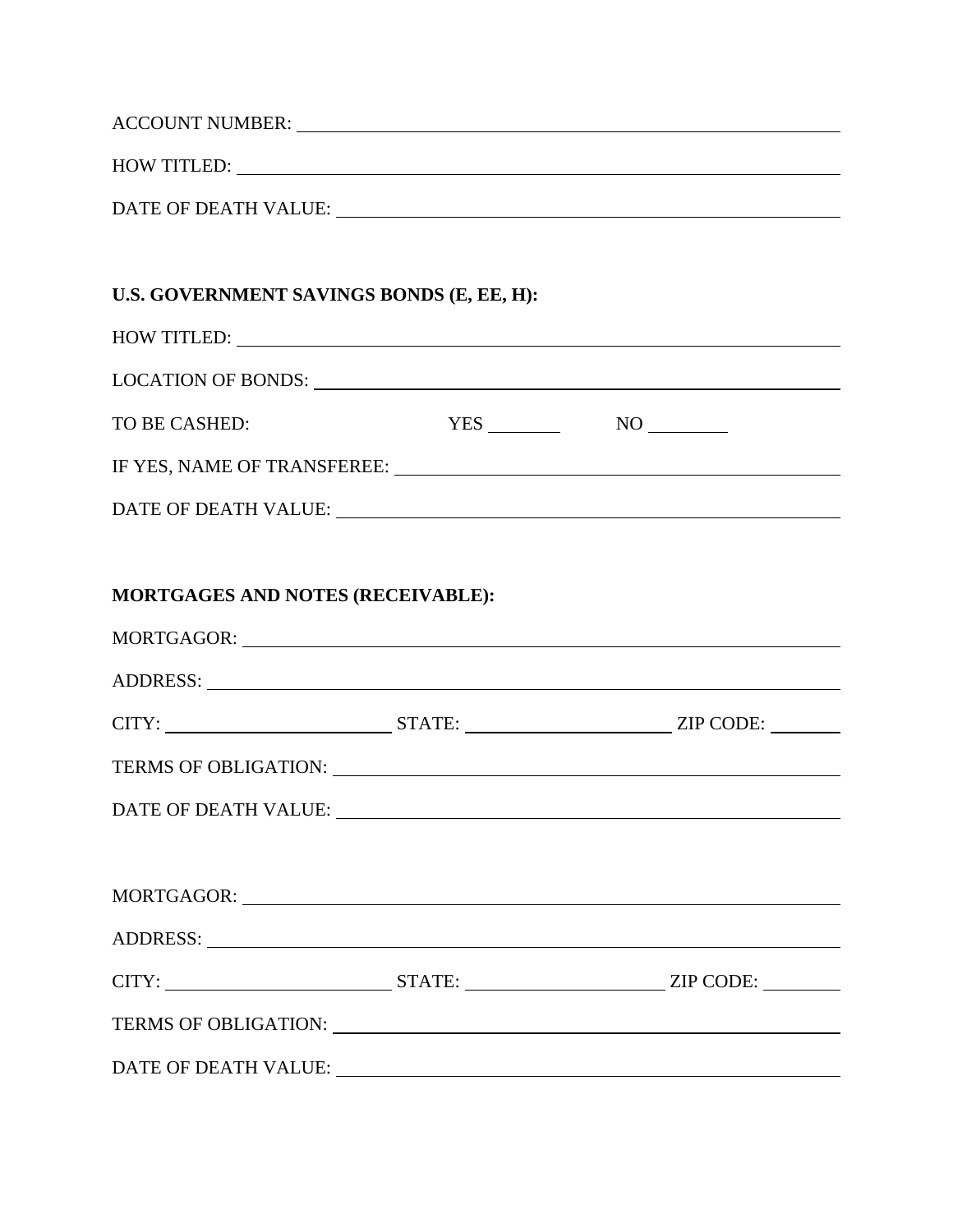|                                                             | ACCOUNT NUMBER: VERTICAL CONTRACT AND ACCOUNT NUMBER:                                                                                                                                                                          |
|-------------------------------------------------------------|--------------------------------------------------------------------------------------------------------------------------------------------------------------------------------------------------------------------------------|
|                                                             | HOW TITLED: NOW TITLED:                                                                                                                                                                                                        |
|                                                             | DATE OF DEATH VALUE: University of the set of the set of the set of the set of the set of the set of the set of the set of the set of the set of the set of the set of the set of the set of the set of the set of the set of  |
|                                                             |                                                                                                                                                                                                                                |
| U.S. GOVERNMENT SAVINGS BONDS (E, EE, H):                   |                                                                                                                                                                                                                                |
| HOW TITLED: NOW TITLED:                                     |                                                                                                                                                                                                                                |
|                                                             |                                                                                                                                                                                                                                |
| TO BE CASHED:                                               | $YES$ NO NO                                                                                                                                                                                                                    |
|                                                             |                                                                                                                                                                                                                                |
|                                                             |                                                                                                                                                                                                                                |
|                                                             |                                                                                                                                                                                                                                |
| MORTGAGES AND NOTES (RECEIVABLE):                           |                                                                                                                                                                                                                                |
|                                                             | MORTGAGOR: University of the contract of the contract of the contract of the contract of the contract of the contract of the contract of the contract of the contract of the contract of the contract of the contract of the c |
|                                                             |                                                                                                                                                                                                                                |
|                                                             |                                                                                                                                                                                                                                |
|                                                             | TERMS OF OBLIGATION: University of the Second Second Second Second Second Second Second Second Second Second Second Second Second Second Second Second Second Second Second Second Second Second Second Second Second Second S |
| DATE OF DEATH VALUE: University of the SATE OF DEATH VALUE: |                                                                                                                                                                                                                                |
|                                                             |                                                                                                                                                                                                                                |
|                                                             |                                                                                                                                                                                                                                |
|                                                             |                                                                                                                                                                                                                                |
|                                                             |                                                                                                                                                                                                                                |
|                                                             |                                                                                                                                                                                                                                |
|                                                             | DATE OF DEATH VALUE: University of the contract of the contract of the contract of the contract of the contract of the contract of the contract of the contract of the contract of the contract of the contract of the contrac |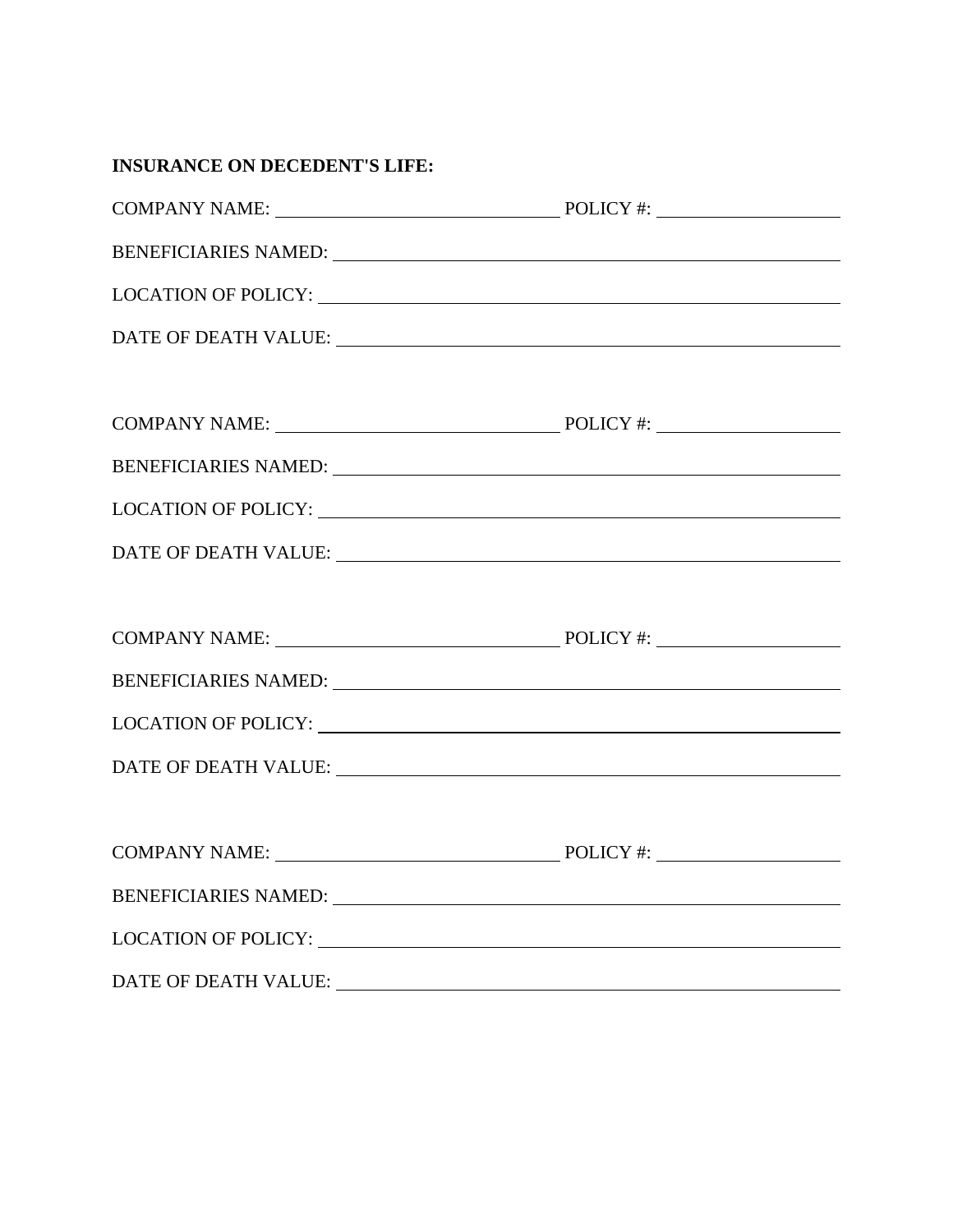| <b>INSURANCE ON DECEDENT'S LIFE:</b>                                                                                                                                                                                           |  |
|--------------------------------------------------------------------------------------------------------------------------------------------------------------------------------------------------------------------------------|--|
|                                                                                                                                                                                                                                |  |
| BENEFICIARIES NAMED: University of the contract of the contract of the contract of the contract of the contract of the contract of the contract of the contract of the contract of the contract of the contract of the contrac |  |
|                                                                                                                                                                                                                                |  |
|                                                                                                                                                                                                                                |  |
|                                                                                                                                                                                                                                |  |
|                                                                                                                                                                                                                                |  |
|                                                                                                                                                                                                                                |  |
|                                                                                                                                                                                                                                |  |
| DATE OF DEATH VALUE: University of the contract of the contract of the contract of the contract of the contract of the contract of the contract of the contract of the contract of the contract of the contract of the contrac |  |
|                                                                                                                                                                                                                                |  |
|                                                                                                                                                                                                                                |  |
|                                                                                                                                                                                                                                |  |
|                                                                                                                                                                                                                                |  |
| DATE OF DEATH VALUE: NAMEL AND RESERVE AND RESERVE ASSESSED.                                                                                                                                                                   |  |
|                                                                                                                                                                                                                                |  |
| <b>COMPANY NAME:</b>                                                                                                                                                                                                           |  |
| BENEFICIARIES NAMED: University of the Second Property of the Second Property of the Second Property of the Second Property of the Second Property of the Second Property of the Second Property of the Second Property of the |  |
|                                                                                                                                                                                                                                |  |
|                                                                                                                                                                                                                                |  |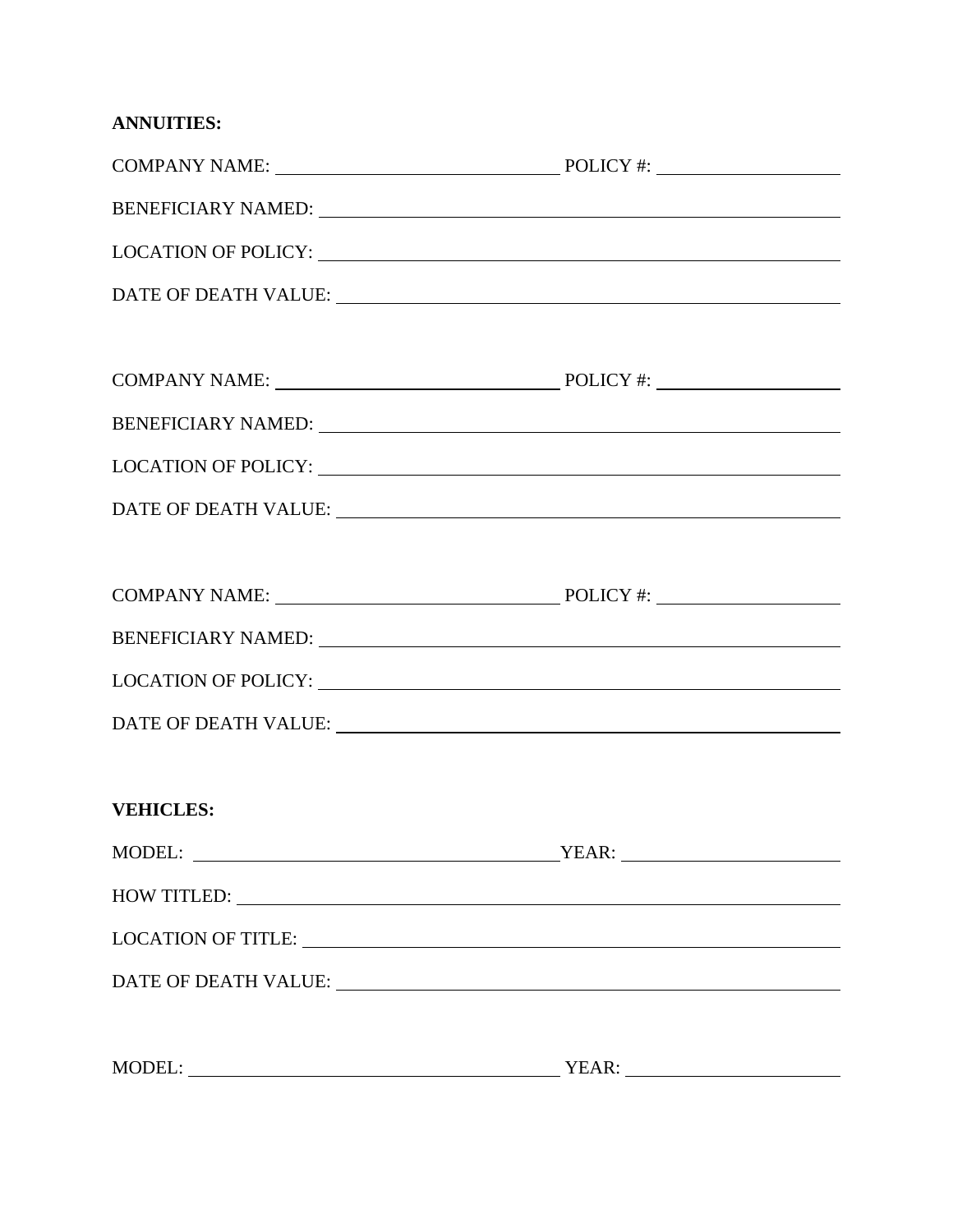| <b>ANNUITIES:</b> |
|-------------------|
|-------------------|

| BENEFICIARY NAMED: New York CONSUMER SERVICES AND THE SERVICES OF THE SERVICES OF THE SERVICES OF THE SERVICES                                                                                                                 |  |
|--------------------------------------------------------------------------------------------------------------------------------------------------------------------------------------------------------------------------------|--|
| LOCATION OF POLICY: University of Alberta Contractor Contractor Contractor Contractor Contractor Contractor Contractor Contractor Contractor Contractor Contractor Contractor Contractor Contractor Contractor Contractor Cont |  |
|                                                                                                                                                                                                                                |  |
|                                                                                                                                                                                                                                |  |
|                                                                                                                                                                                                                                |  |
| BENEFICIARY NAMED: University of the contract of the contract of the contract of the contract of the contract of the contract of the contract of the contract of the contract of the contract of the contract of the contract  |  |
|                                                                                                                                                                                                                                |  |
|                                                                                                                                                                                                                                |  |
|                                                                                                                                                                                                                                |  |
|                                                                                                                                                                                                                                |  |
|                                                                                                                                                                                                                                |  |
|                                                                                                                                                                                                                                |  |
| <b>VEHICLES:</b>                                                                                                                                                                                                               |  |
|                                                                                                                                                                                                                                |  |
| HOW TITLED:                                                                                                                                                                                                                    |  |
| LOCATION OF TITLE: NAME OF TITLE OF STREET ASSESSED.                                                                                                                                                                           |  |
|                                                                                                                                                                                                                                |  |
|                                                                                                                                                                                                                                |  |